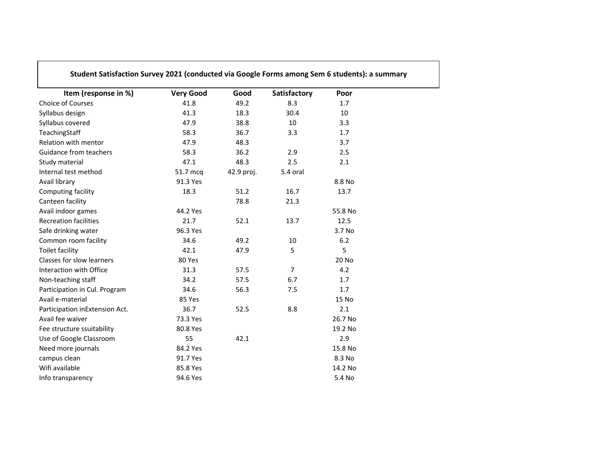| Item (response in %)           | <b>Very Good</b> | Good       | Satisfactory   | Poor    |  |
|--------------------------------|------------------|------------|----------------|---------|--|
| Choice of Courses              | 41.8             | 49.2       | 8.3            | 1.7     |  |
| Syllabus design                | 41.3             | 18.3       | 30.4           | 10      |  |
| Syllabus covered               | 47.9             | 38.8       | 10             | 3.3     |  |
| TeachingStaff                  | 58.3             | 36.7       | 3.3            | 1.7     |  |
| Relation with mentor           | 47.9             | 48.3       |                | 3.7     |  |
| <b>Guidance from teachers</b>  | 58.3             | 36.2       | 2.9            | 2.5     |  |
| Study material                 | 47.1             | 48.3       | 2.5            | 2.1     |  |
| Internal test method           | 51.7 mcq         | 42.9 proj. | 5.4 oral       |         |  |
| Avail library                  | 91.3 Yes         |            |                | 8.8 No  |  |
| Computing facility             | 18.3             | 51.2       | 16.7           | 13.7    |  |
| Canteen facility               |                  | 78.8       | 21.3           |         |  |
| Avail indoor games             | 44.2 Yes         |            |                | 55.8 No |  |
| <b>Recreation facilities</b>   | 21.7             | 52.1       | 13.7           | 12.5    |  |
| Safe drinking water            | 96.3 Yes         |            |                | 3.7 No  |  |
| Common room facility           | 34.6             | 49.2       | 10             | 6.2     |  |
| <b>Toilet facility</b>         | 42.1             | 47.9       | 5              | 5       |  |
| Classes for slow learners      | 80 Yes           |            |                | 20 No   |  |
| Interaction with Office        | 31.3             | 57.5       | $\overline{7}$ | 4.2     |  |
| Non-teaching staff             | 34.2             | 57.5       | 6.7            | 1.7     |  |
| Participation in Cul. Program  | 34.6             | 56.3       | 7.5            | 1.7     |  |
| Avail e-material               | 85 Yes           |            |                | 15 No   |  |
| Participation inExtension Act. | 36.7             | 52.5       | 8.8            | 2.1     |  |
| Avail fee waiver               | 73.3 Yes         |            |                | 26.7 No |  |
| Fee structure ssuitability     | 80.8 Yes         |            |                | 19.2 No |  |
| Use of Google Classroom        | 55               | 42.1       |                | 2.9     |  |
| Need more journals             | 84.2 Yes         |            |                | 15.8 No |  |
| campus clean                   | 91.7 Yes         |            |                | 8.3 No  |  |
| Wifi available                 | 85.8 Yes         |            |                | 14.2 No |  |
| Info transparency              | 94.6 Yes         |            |                | 5.4 No  |  |

Г